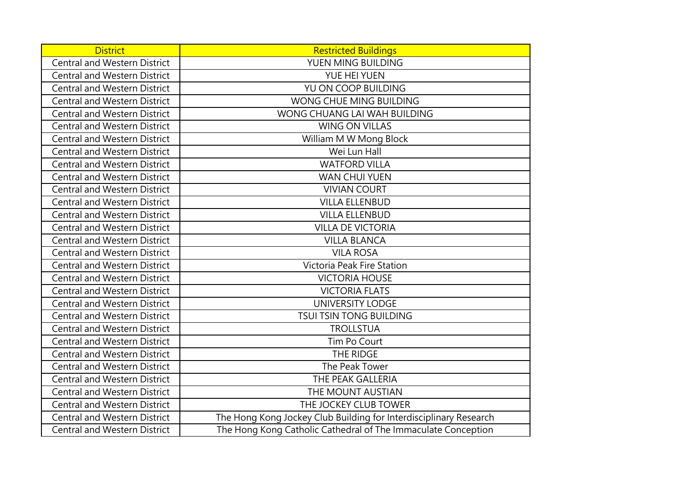| <b>District</b>                     | <b>Restricted Buildings</b>                                       |
|-------------------------------------|-------------------------------------------------------------------|
| <b>Central and Western District</b> | YUEN MING BUILDING                                                |
| <b>Central and Western District</b> | YUE HEI YUEN                                                      |
| <b>Central and Western District</b> | YU ON COOP BUILDING                                               |
| <b>Central and Western District</b> | WONG CHUE MING BUILDING                                           |
| <b>Central and Western District</b> | WONG CHUANG LAI WAH BUILDING                                      |
| <b>Central and Western District</b> | <b>WING ON VILLAS</b>                                             |
| <b>Central and Western District</b> | William M W Mong Block                                            |
| <b>Central and Western District</b> | Wei Lun Hall                                                      |
| <b>Central and Western District</b> | <b>WATFORD VILLA</b>                                              |
| <b>Central and Western District</b> | <b>WAN CHUI YUEN</b>                                              |
| <b>Central and Western District</b> | <b>VIVIAN COURT</b>                                               |
| <b>Central and Western District</b> | <b>VILLA ELLENBUD</b>                                             |
| <b>Central and Western District</b> | <b>VILLA ELLENBUD</b>                                             |
| <b>Central and Western District</b> | <b>VILLA DE VICTORIA</b>                                          |
| <b>Central and Western District</b> | <b>VILLA BLANCA</b>                                               |
| <b>Central and Western District</b> | <b>VILA ROSA</b>                                                  |
| <b>Central and Western District</b> | Victoria Peak Fire Station                                        |
| <b>Central and Western District</b> | <b>VICTORIA HOUSE</b>                                             |
| <b>Central and Western District</b> | <b>VICTORIA FLATS</b>                                             |
| <b>Central and Western District</b> | <b>UNIVERSITY LODGE</b>                                           |
| <b>Central and Western District</b> | TSUI TSIN TONG BUILDING                                           |
| <b>Central and Western District</b> | <b>TROLLSTUA</b>                                                  |
| <b>Central and Western District</b> | Tim Po Court                                                      |
| <b>Central and Western District</b> | THE RIDGE                                                         |
| <b>Central and Western District</b> | The Peak Tower                                                    |
| <b>Central and Western District</b> | THE PEAK GALLERIA                                                 |
| <b>Central and Western District</b> | THE MOUNT AUSTIAN                                                 |
| <b>Central and Western District</b> | THE JOCKEY CLUB TOWER                                             |
| <b>Central and Western District</b> | The Hong Kong Jockey Club Building for Interdisciplinary Research |
| <b>Central and Western District</b> | The Hong Kong Catholic Cathedral of The Immaculate Conception     |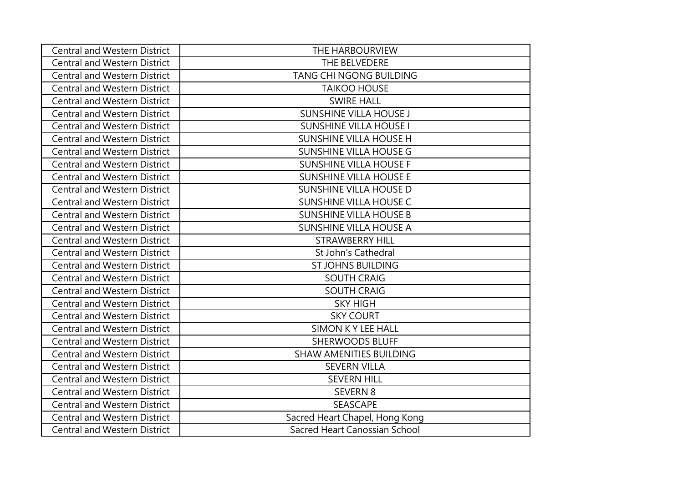| <b>Central and Western District</b> | THE HARBOURVIEW                |
|-------------------------------------|--------------------------------|
| <b>Central and Western District</b> | THE BELVEDERE                  |
| <b>Central and Western District</b> | TANG CHI NGONG BUILDING        |
| <b>Central and Western District</b> | <b>TAIKOO HOUSE</b>            |
| <b>Central and Western District</b> | <b>SWIRE HALL</b>              |
| <b>Central and Western District</b> | <b>SUNSHINE VILLA HOUSE J</b>  |
| <b>Central and Western District</b> | <b>SUNSHINE VILLA HOUSE I</b>  |
| <b>Central and Western District</b> | <b>SUNSHINE VILLA HOUSE H</b>  |
| <b>Central and Western District</b> | <b>SUNSHINE VILLA HOUSE G</b>  |
| <b>Central and Western District</b> | <b>SUNSHINE VILLA HOUSE F</b>  |
| <b>Central and Western District</b> | <b>SUNSHINE VILLA HOUSE E</b>  |
| <b>Central and Western District</b> | SUNSHINE VILLA HOUSE D         |
| <b>Central and Western District</b> | SUNSHINE VILLA HOUSE C         |
| <b>Central and Western District</b> | <b>SUNSHINE VILLA HOUSE B</b>  |
| <b>Central and Western District</b> | <b>SUNSHINE VILLA HOUSE A</b>  |
| <b>Central and Western District</b> | <b>STRAWBERRY HILL</b>         |
| <b>Central and Western District</b> | St John's Cathedral            |
| <b>Central and Western District</b> | <b>ST JOHNS BUILDING</b>       |
| <b>Central and Western District</b> | <b>SOUTH CRAIG</b>             |
| <b>Central and Western District</b> | <b>SOUTH CRAIG</b>             |
| <b>Central and Western District</b> | <b>SKY HIGH</b>                |
| <b>Central and Western District</b> | <b>SKY COURT</b>               |
| <b>Central and Western District</b> | SIMON K Y LEE HALL             |
| <b>Central and Western District</b> | <b>SHERWOODS BLUFF</b>         |
| <b>Central and Western District</b> | <b>SHAW AMENITIES BUILDING</b> |
| Central and Western District        | <b>SEVERN VILLA</b>            |
| <b>Central and Western District</b> | <b>SEVERN HILL</b>             |
| <b>Central and Western District</b> | SEVERN 8                       |
| <b>Central and Western District</b> | <b>SEASCAPE</b>                |
| <b>Central and Western District</b> | Sacred Heart Chapel, Hong Kong |
| <b>Central and Western District</b> | Sacred Heart Canossian School  |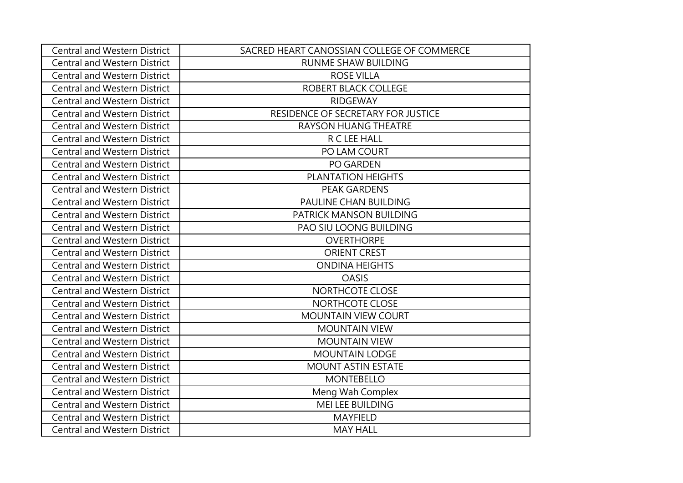| <b>Central and Western District</b> | SACRED HEART CANOSSIAN COLLEGE OF COMMERCE |
|-------------------------------------|--------------------------------------------|
| <b>Central and Western District</b> | <b>RUNME SHAW BUILDING</b>                 |
| <b>Central and Western District</b> | <b>ROSE VILLA</b>                          |
| <b>Central and Western District</b> | ROBERT BLACK COLLEGE                       |
| <b>Central and Western District</b> | <b>RIDGEWAY</b>                            |
| <b>Central and Western District</b> | RESIDENCE OF SECRETARY FOR JUSTICE         |
| <b>Central and Western District</b> | RAYSON HUANG THEATRE                       |
| <b>Central and Western District</b> | R C LEE HALL                               |
| <b>Central and Western District</b> | PO LAM COURT                               |
| <b>Central and Western District</b> | <b>PO GARDEN</b>                           |
| <b>Central and Western District</b> | PLANTATION HEIGHTS                         |
| <b>Central and Western District</b> | <b>PEAK GARDENS</b>                        |
| <b>Central and Western District</b> | PAULINE CHAN BUILDING                      |
| <b>Central and Western District</b> | PATRICK MANSON BUILDING                    |
| <b>Central and Western District</b> | PAO SIU LOONG BUILDING                     |
| <b>Central and Western District</b> | <b>OVERTHORPE</b>                          |
| <b>Central and Western District</b> | <b>ORIENT CREST</b>                        |
| <b>Central and Western District</b> | <b>ONDINA HEIGHTS</b>                      |
| <b>Central and Western District</b> | <b>OASIS</b>                               |
| <b>Central and Western District</b> | NORTHCOTE CLOSE                            |
| <b>Central and Western District</b> | NORTHCOTE CLOSE                            |
| <b>Central and Western District</b> | <b>MOUNTAIN VIEW COURT</b>                 |
| <b>Central and Western District</b> | <b>MOUNTAIN VIEW</b>                       |
| <b>Central and Western District</b> | <b>MOUNTAIN VIEW</b>                       |
| <b>Central and Western District</b> | <b>MOUNTAIN LODGE</b>                      |
| <b>Central and Western District</b> | MOUNT ASTIN ESTATE                         |
| <b>Central and Western District</b> | <b>MONTEBELLO</b>                          |
| <b>Central and Western District</b> | Meng Wah Complex                           |
| <b>Central and Western District</b> | MEI LEE BUILDING                           |
| <b>Central and Western District</b> | <b>MAYFIELD</b>                            |
| <b>Central and Western District</b> | <b>MAY HALL</b>                            |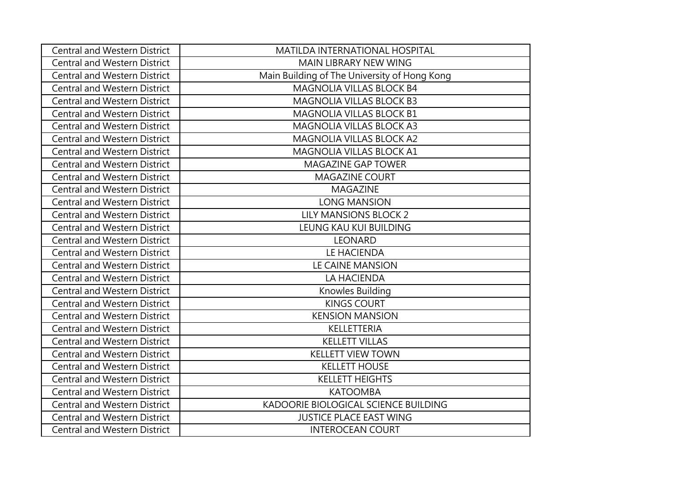| <b>Central and Western District</b> | MATILDA INTERNATIONAL HOSPITAL               |
|-------------------------------------|----------------------------------------------|
| <b>Central and Western District</b> | MAIN LIBRARY NEW WING                        |
| <b>Central and Western District</b> | Main Building of The University of Hong Kong |
| <b>Central and Western District</b> | MAGNOLIA VILLAS BLOCK B4                     |
| <b>Central and Western District</b> | MAGNOLIA VILLAS BLOCK B3                     |
| <b>Central and Western District</b> | MAGNOLIA VILLAS BLOCK B1                     |
| <b>Central and Western District</b> | MAGNOLIA VILLAS BLOCK A3                     |
| <b>Central and Western District</b> | MAGNOLIA VILLAS BLOCK A2                     |
| <b>Central and Western District</b> | MAGNOLIA VILLAS BLOCK A1                     |
| <b>Central and Western District</b> | MAGAZINE GAP TOWER                           |
| <b>Central and Western District</b> | <b>MAGAZINE COURT</b>                        |
| <b>Central and Western District</b> | MAGAZINE                                     |
| <b>Central and Western District</b> | <b>LONG MANSION</b>                          |
| <b>Central and Western District</b> | <b>LILY MANSIONS BLOCK 2</b>                 |
| <b>Central and Western District</b> | LEUNG KAU KUI BUILDING                       |
| <b>Central and Western District</b> | <b>LEONARD</b>                               |
| <b>Central and Western District</b> | LE HACIENDA                                  |
| <b>Central and Western District</b> | LE CAINE MANSION                             |
| <b>Central and Western District</b> | LA HACIENDA                                  |
| <b>Central and Western District</b> | Knowles Building                             |
| <b>Central and Western District</b> | <b>KINGS COURT</b>                           |
| <b>Central and Western District</b> | <b>KENSION MANSION</b>                       |
| <b>Central and Western District</b> | KELLETTERIA                                  |
| <b>Central and Western District</b> | <b>KELLETT VILLAS</b>                        |
| <b>Central and Western District</b> | <b>KELLETT VIEW TOWN</b>                     |
| <b>Central and Western District</b> | <b>KELLETT HOUSE</b>                         |
| <b>Central and Western District</b> | <b>KELLETT HEIGHTS</b>                       |
| <b>Central and Western District</b> | <b>KATOOMBA</b>                              |
| <b>Central and Western District</b> | KADOORIE BIOLOGICAL SCIENCE BUILDING         |
| <b>Central and Western District</b> | <b>JUSTICE PLACE EAST WING</b>               |
| <b>Central and Western District</b> | <b>INTEROCEAN COURT</b>                      |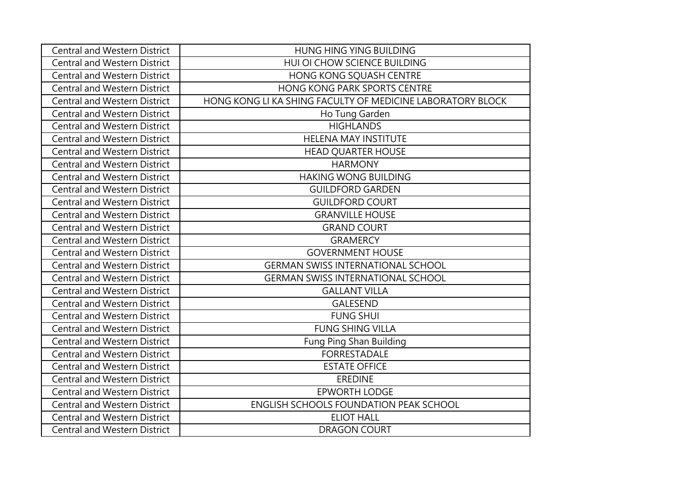| <b>Central and Western District</b> | HUNG HING YING BUILDING                                    |
|-------------------------------------|------------------------------------------------------------|
| <b>Central and Western District</b> | HUI OI CHOW SCIENCE BUILDING                               |
| <b>Central and Western District</b> | HONG KONG SQUASH CENTRE                                    |
| <b>Central and Western District</b> | HONG KONG PARK SPORTS CENTRE                               |
| <b>Central and Western District</b> | HONG KONG LI KA SHING FACULTY OF MEDICINE LABORATORY BLOCK |
| <b>Central and Western District</b> | Ho Tung Garden                                             |
| <b>Central and Western District</b> | <b>HIGHLANDS</b>                                           |
| <b>Central and Western District</b> | <b>HELENA MAY INSTITUTE</b>                                |
| <b>Central and Western District</b> | <b>HEAD QUARTER HOUSE</b>                                  |
| <b>Central and Western District</b> | <b>HARMONY</b>                                             |
| <b>Central and Western District</b> | <b>HAKING WONG BUILDING</b>                                |
| <b>Central and Western District</b> | <b>GUILDFORD GARDEN</b>                                    |
| <b>Central and Western District</b> | <b>GUILDFORD COURT</b>                                     |
| <b>Central and Western District</b> | <b>GRANVILLE HOUSE</b>                                     |
| <b>Central and Western District</b> | <b>GRAND COURT</b>                                         |
| <b>Central and Western District</b> | <b>GRAMERCY</b>                                            |
| <b>Central and Western District</b> | <b>GOVERNMENT HOUSE</b>                                    |
| <b>Central and Western District</b> | <b>GERMAN SWISS INTERNATIONAL SCHOOL</b>                   |
| <b>Central and Western District</b> | <b>GERMAN SWISS INTERNATIONAL SCHOOL</b>                   |
| <b>Central and Western District</b> | <b>GALLANT VILLA</b>                                       |
| <b>Central and Western District</b> | <b>GALESEND</b>                                            |
| <b>Central and Western District</b> | <b>FUNG SHUI</b>                                           |
| <b>Central and Western District</b> | <b>FUNG SHING VILLA</b>                                    |
| <b>Central and Western District</b> | Fung Ping Shan Building                                    |
| <b>Central and Western District</b> | <b>FORRESTADALE</b>                                        |
| <b>Central and Western District</b> | <b>ESTATE OFFICE</b>                                       |
| <b>Central and Western District</b> | <b>EREDINE</b>                                             |
| <b>Central and Western District</b> | <b>EPWORTH LODGE</b>                                       |
| <b>Central and Western District</b> | <b>ENGLISH SCHOOLS FOUNDATION PEAK SCHOOL</b>              |
| <b>Central and Western District</b> | <b>ELIOT HALL</b>                                          |
| <b>Central and Western District</b> | <b>DRAGON COURT</b>                                        |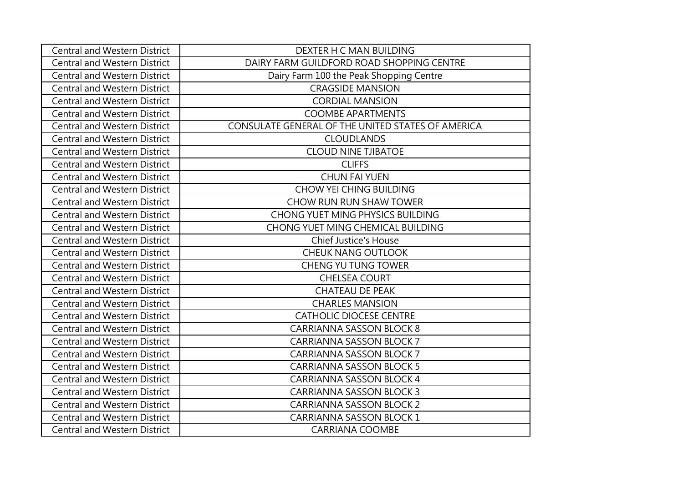| <b>Central and Western District</b> | DEXTER H C MAN BUILDING                           |
|-------------------------------------|---------------------------------------------------|
| <b>Central and Western District</b> | DAIRY FARM GUILDFORD ROAD SHOPPING CENTRE         |
| <b>Central and Western District</b> | Dairy Farm 100 the Peak Shopping Centre           |
| <b>Central and Western District</b> | <b>CRAGSIDE MANSION</b>                           |
| <b>Central and Western District</b> | <b>CORDIAL MANSION</b>                            |
| <b>Central and Western District</b> | <b>COOMBE APARTMENTS</b>                          |
| <b>Central and Western District</b> | CONSULATE GENERAL OF THE UNITED STATES OF AMERICA |
| <b>Central and Western District</b> | <b>CLOUDLANDS</b>                                 |
| <b>Central and Western District</b> | <b>CLOUD NINE TJIBATOE</b>                        |
| <b>Central and Western District</b> | <b>CLIFFS</b>                                     |
| <b>Central and Western District</b> | <b>CHUN FAI YUEN</b>                              |
| <b>Central and Western District</b> | <b>CHOW YEI CHING BUILDING</b>                    |
| <b>Central and Western District</b> | CHOW RUN RUN SHAW TOWER                           |
| <b>Central and Western District</b> | <b>CHONG YUET MING PHYSICS BUILDING</b>           |
| <b>Central and Western District</b> | CHONG YUET MING CHEMICAL BUILDING                 |
| <b>Central and Western District</b> | <b>Chief Justice's House</b>                      |
| <b>Central and Western District</b> | <b>CHEUK NANG OUTLOOK</b>                         |
| <b>Central and Western District</b> | CHENG YU TUNG TOWER                               |
| <b>Central and Western District</b> | <b>CHELSEA COURT</b>                              |
| <b>Central and Western District</b> | <b>CHATEAU DE PEAK</b>                            |
| <b>Central and Western District</b> | <b>CHARLES MANSION</b>                            |
| <b>Central and Western District</b> | <b>CATHOLIC DIOCESE CENTRE</b>                    |
| <b>Central and Western District</b> | <b>CARRIANNA SASSON BLOCK 8</b>                   |
| <b>Central and Western District</b> | <b>CARRIANNA SASSON BLOCK 7</b>                   |
| <b>Central and Western District</b> | <b>CARRIANNA SASSON BLOCK 7</b>                   |
| <b>Central and Western District</b> | <b>CARRIANNA SASSON BLOCK 5</b>                   |
| <b>Central and Western District</b> | <b>CARRIANNA SASSON BLOCK 4</b>                   |
| <b>Central and Western District</b> | <b>CARRIANNA SASSON BLOCK 3</b>                   |
| <b>Central and Western District</b> | <b>CARRIANNA SASSON BLOCK 2</b>                   |
| <b>Central and Western District</b> | <b>CARRIANNA SASSON BLOCK 1</b>                   |
| <b>Central and Western District</b> | <b>CARRIANA COOMBE</b>                            |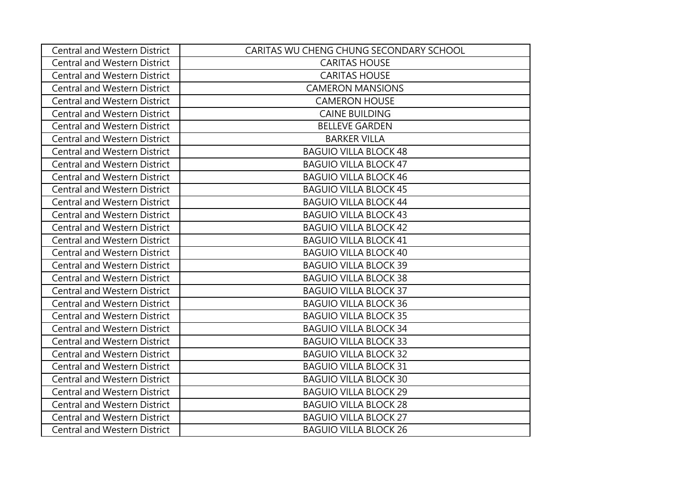| <b>Central and Western District</b> | CARITAS WU CHENG CHUNG SECONDARY SCHOOL |
|-------------------------------------|-----------------------------------------|
| <b>Central and Western District</b> | <b>CARITAS HOUSE</b>                    |
| <b>Central and Western District</b> | <b>CARITAS HOUSE</b>                    |
| <b>Central and Western District</b> | <b>CAMERON MANSIONS</b>                 |
| <b>Central and Western District</b> | <b>CAMERON HOUSE</b>                    |
| <b>Central and Western District</b> | <b>CAINE BUILDING</b>                   |
| <b>Central and Western District</b> | <b>BELLEVE GARDEN</b>                   |
| <b>Central and Western District</b> | <b>BARKER VILLA</b>                     |
| <b>Central and Western District</b> | <b>BAGUIO VILLA BLOCK 48</b>            |
| <b>Central and Western District</b> | <b>BAGUIO VILLA BLOCK 47</b>            |
| <b>Central and Western District</b> | <b>BAGUIO VILLA BLOCK 46</b>            |
| <b>Central and Western District</b> | <b>BAGUIO VILLA BLOCK 45</b>            |
| <b>Central and Western District</b> | <b>BAGUIO VILLA BLOCK 44</b>            |
| <b>Central and Western District</b> | <b>BAGUIO VILLA BLOCK 43</b>            |
| <b>Central and Western District</b> | <b>BAGUIO VILLA BLOCK 42</b>            |
| <b>Central and Western District</b> | <b>BAGUIO VILLA BLOCK 41</b>            |
| <b>Central and Western District</b> | <b>BAGUIO VILLA BLOCK 40</b>            |
| <b>Central and Western District</b> | <b>BAGUIO VILLA BLOCK 39</b>            |
| <b>Central and Western District</b> | <b>BAGUIO VILLA BLOCK 38</b>            |
| <b>Central and Western District</b> | <b>BAGUIO VILLA BLOCK 37</b>            |
| <b>Central and Western District</b> | <b>BAGUIO VILLA BLOCK 36</b>            |
| <b>Central and Western District</b> | <b>BAGUIO VILLA BLOCK 35</b>            |
| <b>Central and Western District</b> | <b>BAGUIO VILLA BLOCK 34</b>            |
| <b>Central and Western District</b> | <b>BAGUIO VILLA BLOCK 33</b>            |
| <b>Central and Western District</b> | <b>BAGUIO VILLA BLOCK 32</b>            |
| <b>Central and Western District</b> | <b>BAGUIO VILLA BLOCK 31</b>            |
| <b>Central and Western District</b> | <b>BAGUIO VILLA BLOCK 30</b>            |
| <b>Central and Western District</b> | <b>BAGUIO VILLA BLOCK 29</b>            |
| <b>Central and Western District</b> | <b>BAGUIO VILLA BLOCK 28</b>            |
| <b>Central and Western District</b> | <b>BAGUIO VILLA BLOCK 27</b>            |
| <b>Central and Western District</b> | <b>BAGUIO VILLA BLOCK 26</b>            |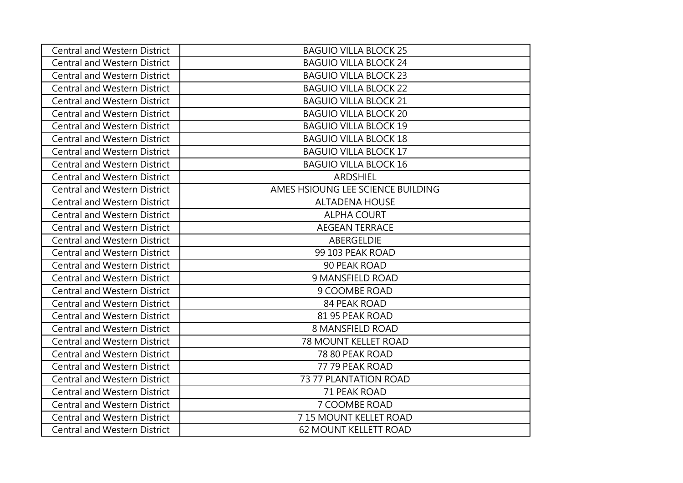| <b>Central and Western District</b> | <b>BAGUIO VILLA BLOCK 25</b>      |
|-------------------------------------|-----------------------------------|
| <b>Central and Western District</b> | <b>BAGUIO VILLA BLOCK 24</b>      |
| <b>Central and Western District</b> | <b>BAGUIO VILLA BLOCK 23</b>      |
| <b>Central and Western District</b> | <b>BAGUIO VILLA BLOCK 22</b>      |
| <b>Central and Western District</b> | <b>BAGUIO VILLA BLOCK 21</b>      |
| <b>Central and Western District</b> | <b>BAGUIO VILLA BLOCK 20</b>      |
| <b>Central and Western District</b> | <b>BAGUIO VILLA BLOCK 19</b>      |
| <b>Central and Western District</b> | <b>BAGUIO VILLA BLOCK 18</b>      |
| <b>Central and Western District</b> | <b>BAGUIO VILLA BLOCK 17</b>      |
| <b>Central and Western District</b> | <b>BAGUIO VILLA BLOCK 16</b>      |
| <b>Central and Western District</b> | <b>ARDSHIEL</b>                   |
| <b>Central and Western District</b> | AMES HSIOUNG LEE SCIENCE BUILDING |
| <b>Central and Western District</b> | <b>ALTADENA HOUSE</b>             |
| <b>Central and Western District</b> | <b>ALPHA COURT</b>                |
| <b>Central and Western District</b> | <b>AEGEAN TERRACE</b>             |
| <b>Central and Western District</b> | ABERGELDIE                        |
| <b>Central and Western District</b> | 99 103 PEAK ROAD                  |
| <b>Central and Western District</b> | 90 PEAK ROAD                      |
| <b>Central and Western District</b> | 9 MANSFIELD ROAD                  |
| <b>Central and Western District</b> | 9 COOMBE ROAD                     |
| <b>Central and Western District</b> | <b>84 PEAK ROAD</b>               |
| <b>Central and Western District</b> | 81 95 PEAK ROAD                   |
| <b>Central and Western District</b> | 8 MANSFIELD ROAD                  |
| <b>Central and Western District</b> | <b>78 MOUNT KELLET ROAD</b>       |
| <b>Central and Western District</b> | 78 80 PEAK ROAD                   |
| <b>Central and Western District</b> | 77 79 PEAK ROAD                   |
| <b>Central and Western District</b> | 73 77 PLANTATION ROAD             |
| <b>Central and Western District</b> | 71 PEAK ROAD                      |
| <b>Central and Western District</b> | 7 COOMBE ROAD                     |
| <b>Central and Western District</b> | 7 15 MOUNT KELLET ROAD            |
| <b>Central and Western District</b> | <b>62 MOUNT KELLETT ROAD</b>      |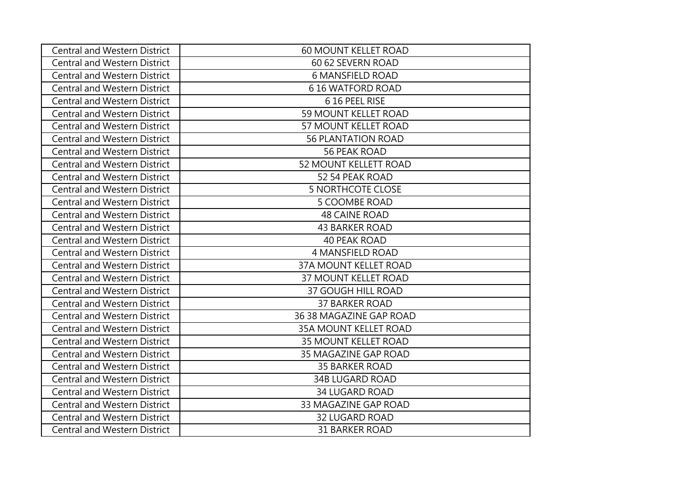| <b>Central and Western District</b> | <b>60 MOUNT KELLET ROAD</b>  |
|-------------------------------------|------------------------------|
| <b>Central and Western District</b> | 60 62 SEVERN ROAD            |
| <b>Central and Western District</b> | <b>6 MANSFIELD ROAD</b>      |
| <b>Central and Western District</b> | <b>616 WATFORD ROAD</b>      |
| <b>Central and Western District</b> | 6 16 PEEL RISE               |
| <b>Central and Western District</b> | 59 MOUNT KELLET ROAD         |
| <b>Central and Western District</b> | 57 MOUNT KELLET ROAD         |
| <b>Central and Western District</b> | <b>56 PLANTATION ROAD</b>    |
| Central and Western District        | <b>56 PEAK ROAD</b>          |
| <b>Central and Western District</b> | 52 MOUNT KELLETT ROAD        |
| Central and Western District        | 52 54 PEAK ROAD              |
| <b>Central and Western District</b> | <b>5 NORTHCOTE CLOSE</b>     |
| <b>Central and Western District</b> | <b>5 COOMBE ROAD</b>         |
| <b>Central and Western District</b> | <b>48 CAINE ROAD</b>         |
| <b>Central and Western District</b> | <b>43 BARKER ROAD</b>        |
| <b>Central and Western District</b> | <b>40 PEAK ROAD</b>          |
| Central and Western District        | 4 MANSFIELD ROAD             |
| <b>Central and Western District</b> | <b>37A MOUNT KELLET ROAD</b> |
| <b>Central and Western District</b> | 37 MOUNT KELLET ROAD         |
| <b>Central and Western District</b> | <b>37 GOUGH HILL ROAD</b>    |
| <b>Central and Western District</b> | <b>37 BARKER ROAD</b>        |
| <b>Central and Western District</b> | 36 38 MAGAZINE GAP ROAD      |
| <b>Central and Western District</b> | <b>35A MOUNT KELLET ROAD</b> |
| <b>Central and Western District</b> | <b>35 MOUNT KELLET ROAD</b>  |
| <b>Central and Western District</b> | 35 MAGAZINE GAP ROAD         |
| <b>Central and Western District</b> | <b>35 BARKER ROAD</b>        |
| <b>Central and Western District</b> | <b>34B LUGARD ROAD</b>       |
| <b>Central and Western District</b> | <b>34 LUGARD ROAD</b>        |
| <b>Central and Western District</b> | 33 MAGAZINE GAP ROAD         |
| <b>Central and Western District</b> | <b>32 LUGARD ROAD</b>        |
| <b>Central and Western District</b> | <b>31 BARKER ROAD</b>        |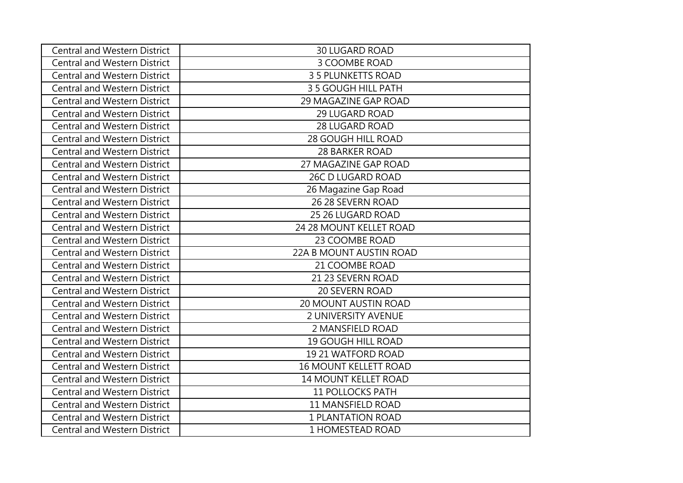| <b>Central and Western District</b> | <b>30 LUGARD ROAD</b>        |
|-------------------------------------|------------------------------|
| <b>Central and Western District</b> | 3 COOMBE ROAD                |
| <b>Central and Western District</b> | 3 5 PLUNKETTS ROAD           |
| <b>Central and Western District</b> | 3 5 GOUGH HILL PATH          |
| <b>Central and Western District</b> | 29 MAGAZINE GAP ROAD         |
| <b>Central and Western District</b> | <b>29 LUGARD ROAD</b>        |
| <b>Central and Western District</b> | 28 LUGARD ROAD               |
| <b>Central and Western District</b> | 28 GOUGH HILL ROAD           |
| <b>Central and Western District</b> | <b>28 BARKER ROAD</b>        |
| <b>Central and Western District</b> | 27 MAGAZINE GAP ROAD         |
| <b>Central and Western District</b> | 26C D LUGARD ROAD            |
| <b>Central and Western District</b> | 26 Magazine Gap Road         |
| <b>Central and Western District</b> | 26 28 SEVERN ROAD            |
| <b>Central and Western District</b> | 25 26 LUGARD ROAD            |
| <b>Central and Western District</b> | 24 28 MOUNT KELLET ROAD      |
| <b>Central and Western District</b> | 23 COOMBE ROAD               |
| <b>Central and Western District</b> | 22A B MOUNT AUSTIN ROAD      |
| <b>Central and Western District</b> | 21 COOMBE ROAD               |
| <b>Central and Western District</b> | 21 23 SEVERN ROAD            |
| <b>Central and Western District</b> | 20 SEVERN ROAD               |
| <b>Central and Western District</b> | <b>20 MOUNT AUSTIN ROAD</b>  |
| <b>Central and Western District</b> | <b>2 UNIVERSITY AVENUE</b>   |
| <b>Central and Western District</b> | 2 MANSFIELD ROAD             |
| <b>Central and Western District</b> | <b>19 GOUGH HILL ROAD</b>    |
| <b>Central and Western District</b> | 19 21 WATFORD ROAD           |
| <b>Central and Western District</b> | <b>16 MOUNT KELLETT ROAD</b> |
| <b>Central and Western District</b> | 14 MOUNT KELLET ROAD         |
| <b>Central and Western District</b> | <b>11 POLLOCKS PATH</b>      |
| <b>Central and Western District</b> | 11 MANSFIELD ROAD            |
| <b>Central and Western District</b> | <b>1 PLANTATION ROAD</b>     |
| <b>Central and Western District</b> | 1 HOMESTEAD ROAD             |